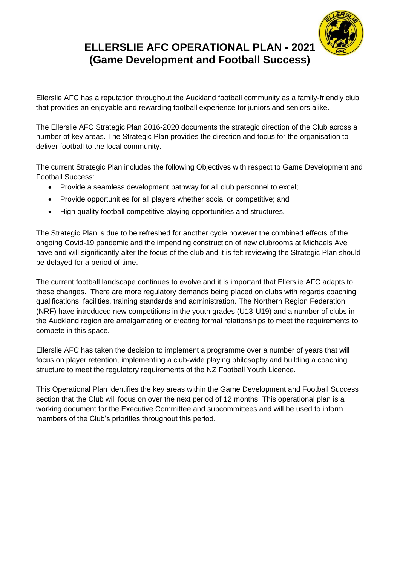

## **ELLERSLIE AFC OPERATIONAL PLAN - 2021 (Game Development and Football Success)**

Ellerslie AFC has a reputation throughout the Auckland football community as a family-friendly club that provides an enjoyable and rewarding football experience for juniors and seniors alike.

The Ellerslie AFC Strategic Plan 2016-2020 documents the strategic direction of the Club across a number of key areas. The Strategic Plan provides the direction and focus for the organisation to deliver football to the local community.

The current Strategic Plan includes the following Objectives with respect to Game Development and Football Success:

- Provide a seamless development pathway for all club personnel to excel;
- Provide opportunities for all players whether social or competitive; and
- High quality football competitive playing opportunities and structures.

The Strategic Plan is due to be refreshed for another cycle however the combined effects of the ongoing Covid-19 pandemic and the impending construction of new clubrooms at Michaels Ave have and will significantly alter the focus of the club and it is felt reviewing the Strategic Plan should be delayed for a period of time.

The current football landscape continues to evolve and it is important that Ellerslie AFC adapts to these changes. There are more regulatory demands being placed on clubs with regards coaching qualifications, facilities, training standards and administration. The Northern Region Federation (NRF) have introduced new competitions in the youth grades (U13-U19) and a number of clubs in the Auckland region are amalgamating or creating formal relationships to meet the requirements to compete in this space.

Ellerslie AFC has taken the decision to implement a programme over a number of years that will focus on player retention, implementing a club-wide playing philosophy and building a coaching structure to meet the regulatory requirements of the NZ Football Youth Licence.

This Operational Plan identifies the key areas within the Game Development and Football Success section that the Club will focus on over the next period of 12 months. This operational plan is a working document for the Executive Committee and subcommittees and will be used to inform members of the Club's priorities throughout this period.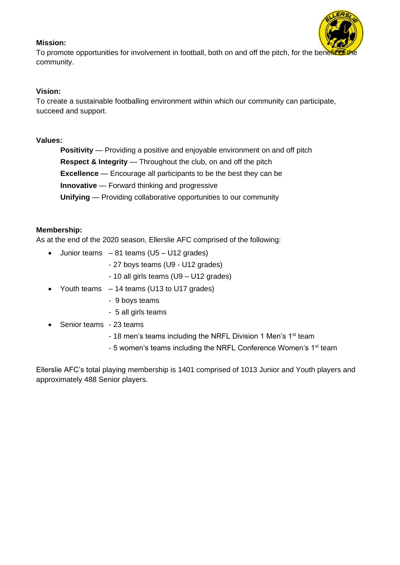#### **Mission:**



To promote opportunities for involvement in football, both on and off the pitch, for the benefit community.

#### **Vision:**

To create a sustainable footballing environment within which our community can participate, succeed and support.

#### **Values:**

**Positivity** — Providing a positive and enjoyable environment on and off pitch **Respect & Integrity** — Throughout the club, on and off the pitch **Excellence** — Encourage all participants to be the best they can be **Innovative** — Forward thinking and progressive **Unifying** — Providing collaborative opportunities to our community

#### **Membership:**

As at the end of the 2020 season, Ellerslie AFC comprised of the following:

- Junior teams  $-81$  teams (U5 U12 grades)
	- 27 boys teams (U9 U12 grades)
	- 10 all girls teams (U9 U12 grades)
- Youth teams 14 teams (U13 to U17 grades)
	- 9 boys teams
	- 5 all girls teams
- Senior teams 23 teams
	- 18 men's teams including the NRFL Division 1 Men's 1<sup>st</sup> team
	- 5 women's teams including the NRFL Conference Women's 1<sup>st</sup> team

Ellerslie AFC's total playing membership is 1401 comprised of 1013 Junior and Youth players and approximately 488 Senior players.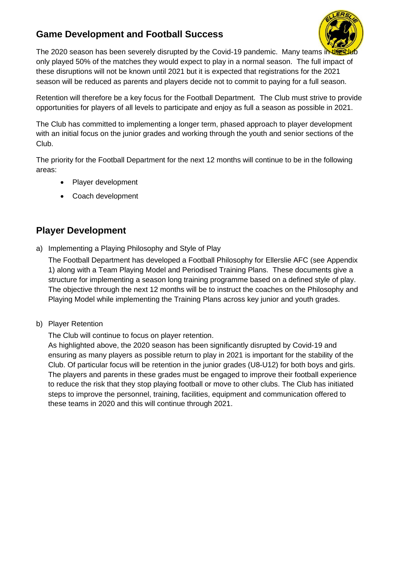### **Game Development and Football Success**



The 2020 season has been severely disrupted by the Covid-19 pandemic. Many teams in the Cut only played 50% of the matches they would expect to play in a normal season. The full impact of these disruptions will not be known until 2021 but it is expected that registrations for the 2021 season will be reduced as parents and players decide not to commit to paying for a full season.

Retention will therefore be a key focus for the Football Department. The Club must strive to provide opportunities for players of all levels to participate and enjoy as full a season as possible in 2021.

The Club has committed to implementing a longer term, phased approach to player development with an initial focus on the junior grades and working through the youth and senior sections of the Club.

The priority for the Football Department for the next 12 months will continue to be in the following areas:

- Player development
- Coach development

### **Player Development**

a) Implementing a Playing Philosophy and Style of Play

The Football Department has developed a Football Philosophy for Ellerslie AFC (see Appendix 1) along with a Team Playing Model and Periodised Training Plans. These documents give a structure for implementing a season long training programme based on a defined style of play. The objective through the next 12 months will be to instruct the coaches on the Philosophy and Playing Model while implementing the Training Plans across key junior and youth grades.

b) Player Retention

The Club will continue to focus on player retention.

As highlighted above, the 2020 season has been significantly disrupted by Covid-19 and ensuring as many players as possible return to play in 2021 is important for the stability of the Club. Of particular focus will be retention in the junior grades (U8-U12) for both boys and girls. The players and parents in these grades must be engaged to improve their football experience to reduce the risk that they stop playing football or move to other clubs. The Club has initiated steps to improve the personnel, training, facilities, equipment and communication offered to these teams in 2020 and this will continue through 2021.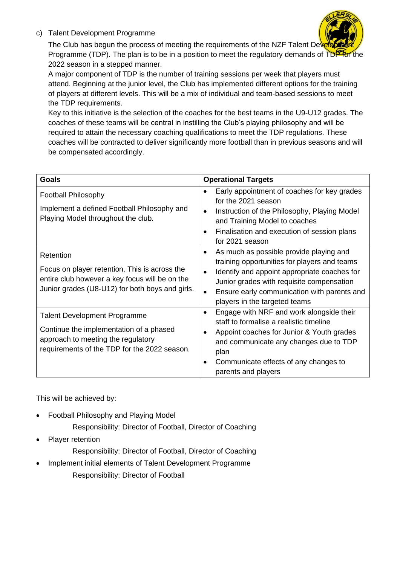c) Talent Development Programme



The Club has begun the process of meeting the requirements of the NZF Talent Dev Programme (TDP). The plan is to be in a position to meet the regulatory demands of TDP for the 2022 season in a stepped manner.

A major component of TDP is the number of training sessions per week that players must attend. Beginning at the junior level, the Club has implemented different options for the training of players at different levels. This will be a mix of individual and team-based sessions to meet the TDP requirements.

Key to this initiative is the selection of the coaches for the best teams in the U9-U12 grades. The coaches of these teams will be central in instilling the Club's playing philosophy and will be required to attain the necessary coaching qualifications to meet the TDP regulations. These coaches will be contracted to deliver significantly more football than in previous seasons and will be compensated accordingly.

| Goals                                                                                                                                                                | <b>Operational Targets</b>                                                                                                                                                                                                                                                                     |
|----------------------------------------------------------------------------------------------------------------------------------------------------------------------|------------------------------------------------------------------------------------------------------------------------------------------------------------------------------------------------------------------------------------------------------------------------------------------------|
| <b>Football Philosophy</b><br>Implement a defined Football Philosophy and<br>Playing Model throughout the club.                                                      | Early appointment of coaches for key grades<br>for the 2021 season<br>Instruction of the Philosophy, Playing Model<br>and Training Model to coaches<br>Finalisation and execution of session plans<br>for 2021 season                                                                          |
| Retention<br>Focus on player retention. This is across the<br>entire club however a key focus will be on the<br>Junior grades (U8-U12) for both boys and girls.      | As much as possible provide playing and<br>$\bullet$<br>training opportunities for players and teams<br>Identify and appoint appropriate coaches for<br>$\bullet$<br>Junior grades with requisite compensation<br>Ensure early communication with parents and<br>players in the targeted teams |
| <b>Talent Development Programme</b><br>Continue the implementation of a phased<br>approach to meeting the regulatory<br>requirements of the TDP for the 2022 season. | Engage with NRF and work alongside their<br>staff to formalise a realistic timeline<br>Appoint coaches for Junior & Youth grades<br>and communicate any changes due to TDP<br>plan<br>Communicate effects of any changes to<br>parents and players                                             |

This will be achieved by:

- Football Philosophy and Playing Model
	- Responsibility: Director of Football, Director of Coaching
- Player retention
	- Responsibility: Director of Football, Director of Coaching
- Implement initial elements of Talent Development Programme Responsibility: Director of Football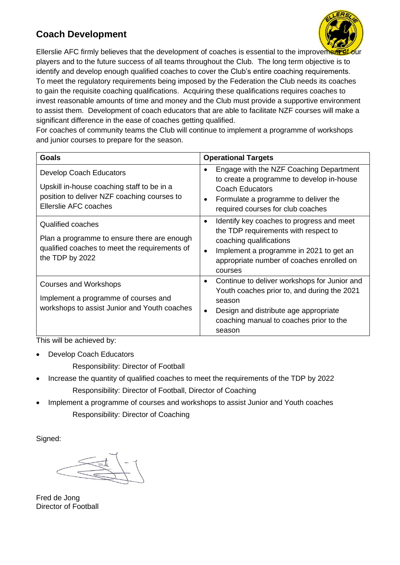### **Coach Development**



Ellerslie AFC firmly believes that the development of coaches is essential to the improvement our players and to the future success of all teams throughout the Club. The long term objective is to identify and develop enough qualified coaches to cover the Club's entire coaching requirements. To meet the regulatory requirements being imposed by the Federation the Club needs its coaches to gain the requisite coaching qualifications. Acquiring these qualifications requires coaches to invest reasonable amounts of time and money and the Club must provide a supportive environment to assist them. Development of coach educators that are able to facilitate NZF courses will make a significant difference in the ease of coaches getting qualified.

For coaches of community teams the Club will continue to implement a programme of workshops and junior courses to prepare for the season.

| <b>Goals</b>                                                                                                                                                 | <b>Operational Targets</b>                                                                                                                                                                                                                |
|--------------------------------------------------------------------------------------------------------------------------------------------------------------|-------------------------------------------------------------------------------------------------------------------------------------------------------------------------------------------------------------------------------------------|
| <b>Develop Coach Educators</b><br>Upskill in-house coaching staff to be in a<br>position to deliver NZF coaching courses to<br>Ellerslie AFC coaches         | Engage with the NZF Coaching Department<br>٠<br>to create a programme to develop in-house<br><b>Coach Educators</b><br>Formulate a programme to deliver the<br>$\bullet$<br>required courses for club coaches                             |
| <b>Qualified coaches</b><br>Plan a programme to ensure there are enough<br>qualified coaches to meet the requirements of<br>the TDP by 2022                  | Identify key coaches to progress and meet<br>$\bullet$<br>the TDP requirements with respect to<br>coaching qualifications<br>Implement a programme in 2021 to get an<br>$\bullet$<br>appropriate number of coaches enrolled on<br>courses |
| <b>Courses and Workshops</b><br>Implement a programme of courses and<br>workshops to assist Junior and Youth coaches<br>$\cdots$<br>—<br><b>ALL 1</b><br>. . | Continue to deliver workshops for Junior and<br>$\bullet$<br>Youth coaches prior to, and during the 2021<br>season<br>Design and distribute age appropriate<br>$\bullet$<br>coaching manual to coaches prior to the<br>season             |

This will be achieved by:

Develop Coach Educators

Responsibility: Director of Football

- Increase the quantity of qualified coaches to meet the requirements of the TDP by 2022 Responsibility: Director of Football, Director of Coaching
- Implement a programme of courses and workshops to assist Junior and Youth coaches Responsibility: Director of Coaching

Signed:

Fred de Jong Director of Football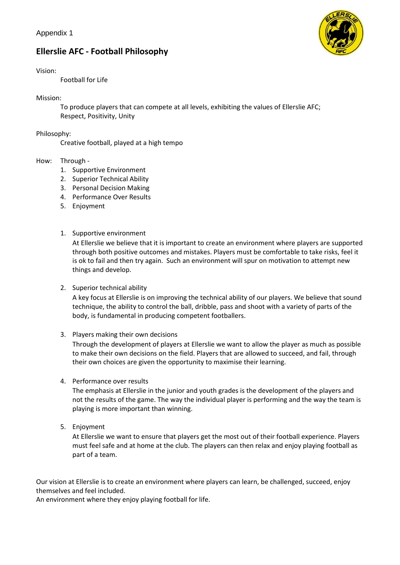### **Ellerslie AFC - Football Philosophy**

#### Vision:

Football for Life

#### Mission:

To produce players that can compete at all levels, exhibiting the values of Ellerslie AFC; Respect, Positivity, Unity

#### Philosophy:

Creative football, played at a high tempo

#### How: Through -

- 1. Supportive Environment
- 2. Superior Technical Ability
- 3. Personal Decision Making
- 4. Performance Over Results
- 5. Enjoyment
- 1. Supportive environment

At Ellerslie we believe that it is important to create an environment where players are supported through both positive outcomes and mistakes. Players must be comfortable to take risks, feel it is ok to fail and then try again. Such an environment will spur on motivation to attempt new things and develop.

2. Superior technical ability

A key focus at Ellerslie is on improving the technical ability of our players. We believe that sound technique, the ability to control the ball, dribble, pass and shoot with a variety of parts of the body, is fundamental in producing competent footballers.

3. Players making their own decisions

Through the development of players at Ellerslie we want to allow the player as much as possible to make their own decisions on the field. Players that are allowed to succeed, and fail, through their own choices are given the opportunity to maximise their learning.

4. Performance over results

The emphasis at Ellerslie in the junior and youth grades is the development of the players and not the results of the game. The way the individual player is performing and the way the team is playing is more important than winning.

5. Enjoyment

At Ellerslie we want to ensure that players get the most out of their football experience. Players must feel safe and at home at the club. The players can then relax and enjoy playing football as part of a team.

Our vision at Ellerslie is to create an environment where players can learn, be challenged, succeed, enjoy themselves and feel included.

An environment where they enjoy playing football for life.

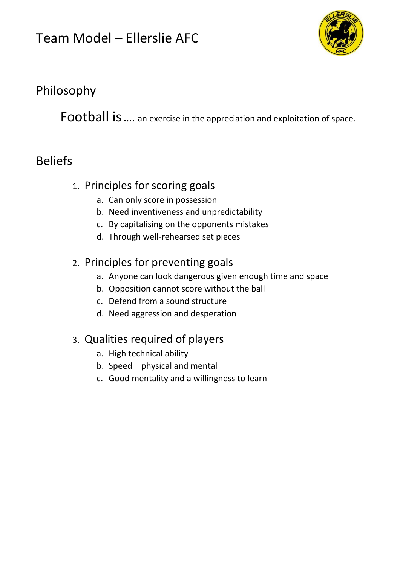# Team Model – Ellerslie AFC



# Philosophy

Football is…. an exercise in the appreciation and exploitation of space.

# Beliefs

## 1. Principles for scoring goals

- a. Can only score in possession
- b. Need inventiveness and unpredictability
- c. By capitalising on the opponents mistakes
- d. Through well-rehearsed set pieces

## 2. Principles for preventing goals

- a. Anyone can look dangerous given enough time and space
- b. Opposition cannot score without the ball
- c. Defend from a sound structure
- d. Need aggression and desperation

## 3. Qualities required of players

- a. High technical ability
- b. Speed physical and mental
- c. Good mentality and a willingness to learn